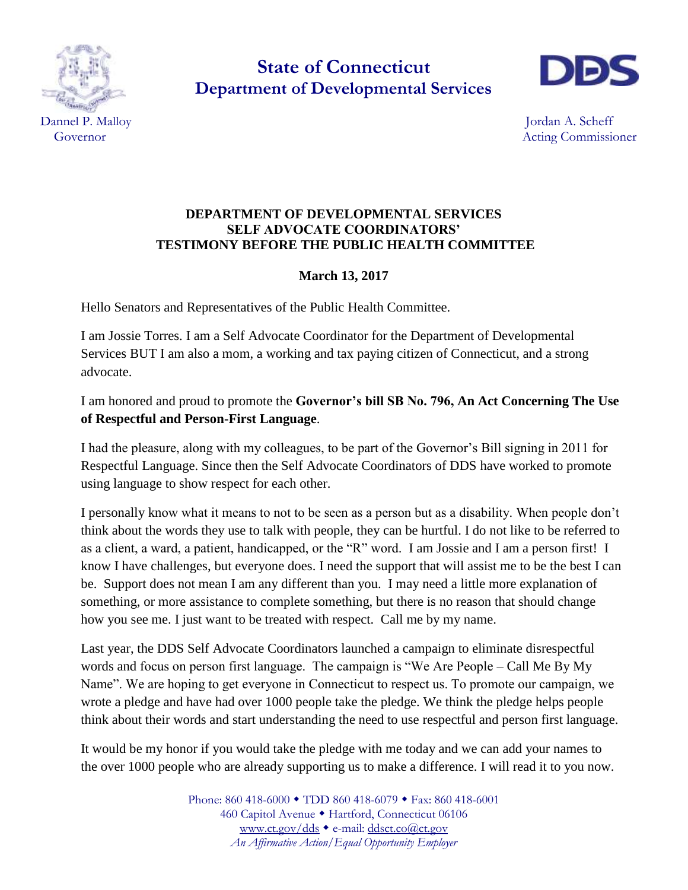

**State of Connecticut Department of Developmental Services**



Dannel P. Malloy Jordan A. Scheff Governor and the commissioner and the commissioner and the commissioner and the commissioner and the commissioner and the commissioner and the commissioner and the commissioner and the commissioner and the commissioner and

## **DEPARTMENT OF DEVELOPMENTAL SERVICES SELF ADVOCATE COORDINATORS' TESTIMONY BEFORE THE PUBLIC HEALTH COMMITTEE**

## **March 13, 2017**

Hello Senators and Representatives of the Public Health Committee.

I am Jossie Torres. I am a Self Advocate Coordinator for the Department of Developmental Services BUT I am also a mom, a working and tax paying citizen of Connecticut, and a strong advocate.

I am honored and proud to promote the **Governor's bill SB No. 796, An Act Concerning The Use of Respectful and Person-First Language**.

I had the pleasure, along with my colleagues, to be part of the Governor's Bill signing in 2011 for Respectful Language. Since then the Self Advocate Coordinators of DDS have worked to promote using language to show respect for each other.

I personally know what it means to not to be seen as a person but as a disability. When people don't think about the words they use to talk with people, they can be hurtful. I do not like to be referred to as a client, a ward, a patient, handicapped, or the "R" word. I am Jossie and I am a person first! I know I have challenges, but everyone does. I need the support that will assist me to be the best I can be. Support does not mean I am any different than you. I may need a little more explanation of something, or more assistance to complete something, but there is no reason that should change how you see me. I just want to be treated with respect. Call me by my name.

Last year, the DDS Self Advocate Coordinators launched a campaign to eliminate disrespectful words and focus on person first language. The campaign is "We Are People – Call Me By My Name". We are hoping to get everyone in Connecticut to respect us. To promote our campaign, we wrote a pledge and have had over 1000 people take the pledge. We think the pledge helps people think about their words and start understanding the need to use respectful and person first language.

It would be my honor if you would take the pledge with me today and we can add your names to the over 1000 people who are already supporting us to make a difference. I will read it to you now.

> Phone: 860 418-6000 ◆ TDD 860 418-6079 ◆ Fax: 860 418-6001 460 Capitol Avenue · Hartford, Connecticut 06106 [www.ct.gov/dds](http://www.ct.gov/dds) • e-mail: [ddsct.co@ct.gov](mailto:ddsct.co@ct.gov) *An Affirmative Action/Equal Opportunity Employer*